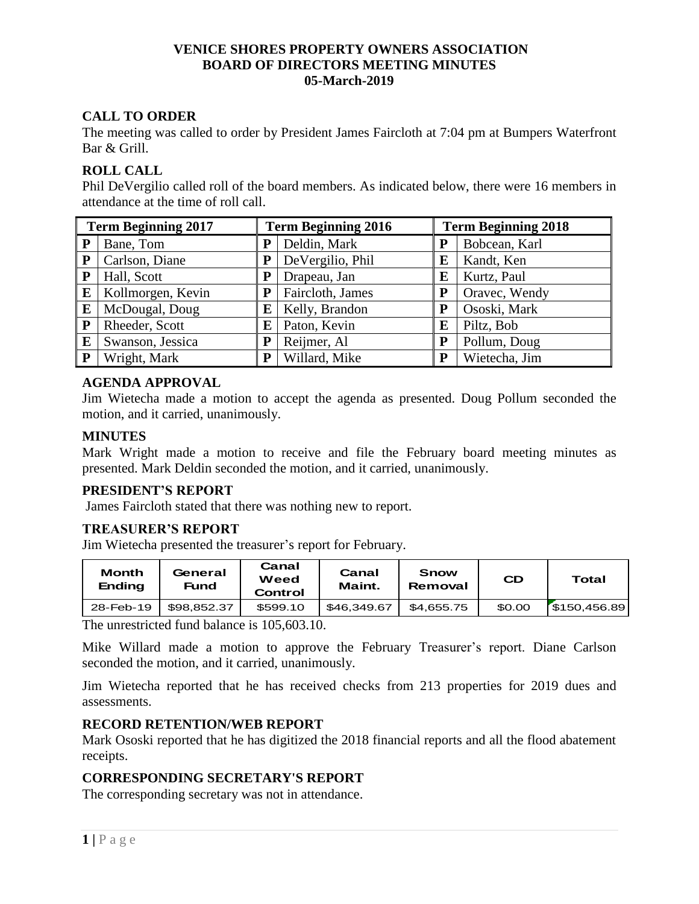### **VENICE SHORES PROPERTY OWNERS ASSOCIATION BOARD OF DIRECTORS MEETING MINUTES 05-March-2019**

# **CALL TO ORDER**

The meeting was called to order by President James Faircloth at 7:04 pm at Bumpers Waterfront Bar & Grill.

## **ROLL CALL**

Phil DeVergilio called roll of the board members. As indicated below, there were 16 members in attendance at the time of roll call.

| <b>Term Beginning 2017</b> |                   | <b>Term Beginning 2016</b> |                  | <b>Term Beginning 2018</b> |               |  |
|----------------------------|-------------------|----------------------------|------------------|----------------------------|---------------|--|
| P                          | Bane, Tom         | P                          | Deldin, Mark     |                            | Bobcean, Karl |  |
| ${\bf P}$                  | Carlson, Diane    | P                          | DeVergilio, Phil | E                          | Kandt, Ken    |  |
| P                          | Hall, Scott       | P                          | Drapeau, Jan     | E                          | Kurtz, Paul   |  |
| E                          | Kollmorgen, Kevin | P                          | Faircloth, James |                            | Oravec, Wendy |  |
| E                          | McDougal, Doug    | E                          | Kelly, Brandon   | P                          | Ososki, Mark  |  |
| P                          | Rheeder, Scott    | Е                          | Paton, Kevin     | E                          | Piltz, Bob    |  |
| E                          | Swanson, Jessica  | P                          | Reijmer, Al      | P                          | Pollum, Doug  |  |
| P                          | Wright, Mark      | P                          | Willard, Mike    | P                          | Wietecha, Jim |  |

## **AGENDA APPROVAL**

Jim Wietecha made a motion to accept the agenda as presented. Doug Pollum seconded the motion, and it carried, unanimously.

### **MINUTES**

Mark Wright made a motion to receive and file the February board meeting minutes as presented. Mark Deldin seconded the motion, and it carried, unanimously.

# **PRESIDENT'S REPORT**

James Faircloth stated that there was nothing new to report.

### **TREASURER'S REPORT**

Jim Wietecha presented the treasurer's report for February.

| <b>Month</b><br><b>Ending</b> | General<br>Fund | Canal<br>Weed<br>Control | Canal<br>Maint. | Snow<br>Removal | <b>CD</b> | Total        |
|-------------------------------|-----------------|--------------------------|-----------------|-----------------|-----------|--------------|
| 28-Feb-19                     | \$98.852.37     | \$599.10                 | \$46.349.67     | \$4,655.75      | \$0.00    | \$150,456.89 |

The unrestricted fund balance is 105,603.10.

Mike Willard made a motion to approve the February Treasurer's report. Diane Carlson seconded the motion, and it carried, unanimously.

Jim Wietecha reported that he has received checks from 213 properties for 2019 dues and assessments.

### **RECORD RETENTION/WEB REPORT**

Mark Ososki reported that he has digitized the 2018 financial reports and all the flood abatement receipts.

# **CORRESPONDING SECRETARY'S REPORT**

The corresponding secretary was not in attendance.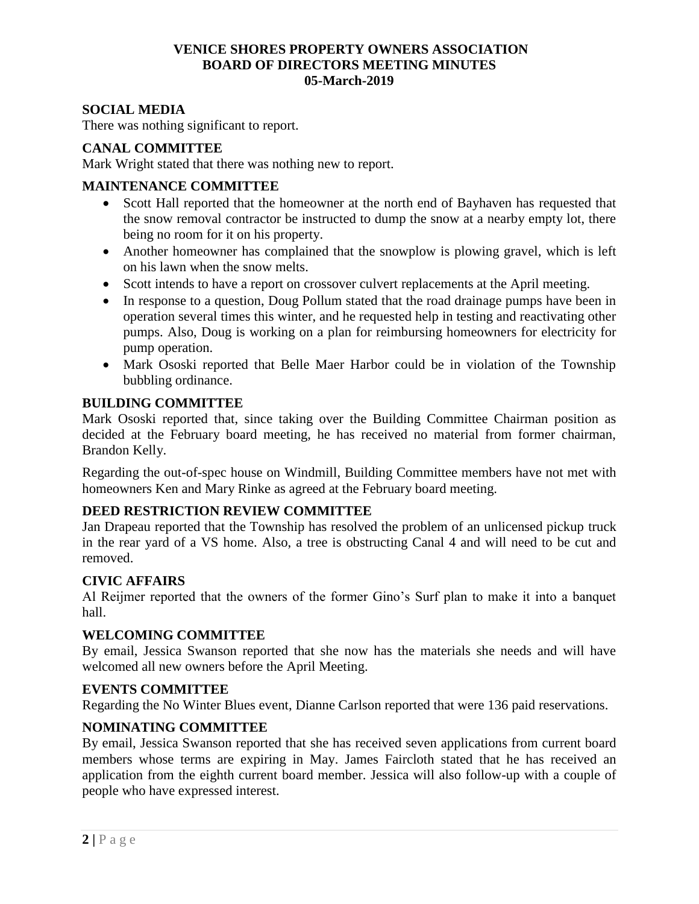## **VENICE SHORES PROPERTY OWNERS ASSOCIATION BOARD OF DIRECTORS MEETING MINUTES 05-March-2019**

## **SOCIAL MEDIA**

There was nothing significant to report.

## **CANAL COMMITTEE**

Mark Wright stated that there was nothing new to report.

### **MAINTENANCE COMMITTEE**

- Scott Hall reported that the homeowner at the north end of Bayhaven has requested that the snow removal contractor be instructed to dump the snow at a nearby empty lot, there being no room for it on his property.
- Another homeowner has complained that the snowplow is plowing gravel, which is left on his lawn when the snow melts.
- Scott intends to have a report on crossover culvert replacements at the April meeting.
- In response to a question, Doug Pollum stated that the road drainage pumps have been in operation several times this winter, and he requested help in testing and reactivating other pumps. Also, Doug is working on a plan for reimbursing homeowners for electricity for pump operation.
- Mark Ososki reported that Belle Maer Harbor could be in violation of the Township bubbling ordinance.

### **BUILDING COMMITTEE**

Mark Ososki reported that, since taking over the Building Committee Chairman position as decided at the February board meeting, he has received no material from former chairman, Brandon Kelly.

Regarding the out-of-spec house on Windmill, Building Committee members have not met with homeowners Ken and Mary Rinke as agreed at the February board meeting.

## **DEED RESTRICTION REVIEW COMMITTEE**

Jan Drapeau reported that the Township has resolved the problem of an unlicensed pickup truck in the rear yard of a VS home. Also, a tree is obstructing Canal 4 and will need to be cut and removed.

### **CIVIC AFFAIRS**

Al Reijmer reported that the owners of the former Gino's Surf plan to make it into a banquet hall.

### **WELCOMING COMMITTEE**

By email, Jessica Swanson reported that she now has the materials she needs and will have welcomed all new owners before the April Meeting.

### **EVENTS COMMITTEE**

Regarding the No Winter Blues event, Dianne Carlson reported that were 136 paid reservations.

### **NOMINATING COMMITTEE**

By email, Jessica Swanson reported that she has received seven applications from current board members whose terms are expiring in May. James Faircloth stated that he has received an application from the eighth current board member. Jessica will also follow-up with a couple of people who have expressed interest.